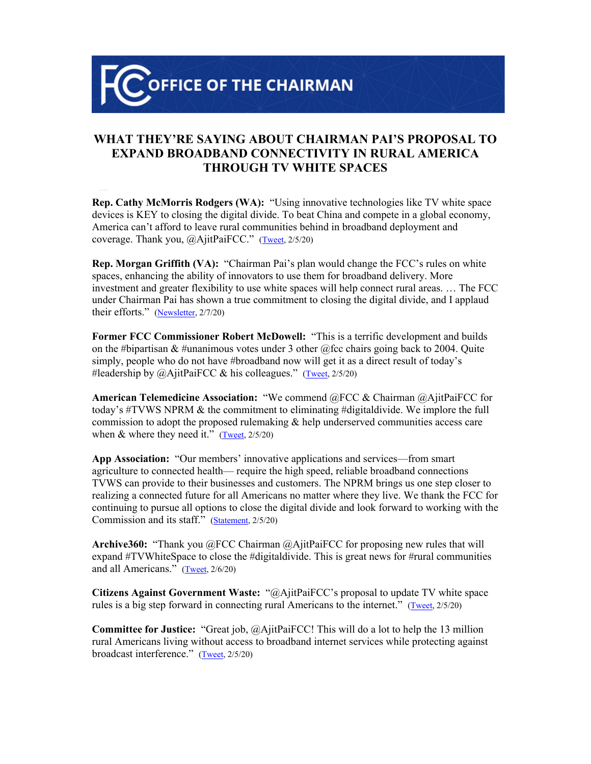**OFFICE OF THE CHAIRMAN** 

## **WHAT THEY'RE SAYING ABOUT CHAIRMAN PAI'S PROPOSAL TO EXPAND BROADBAND CONNECTIVITY IN RURAL AMERICA THROUGH TV WHITE SPACES**

**Rep. Cathy McMorris Rodgers (WA):** "Using innovative technologies like TV white space devices is KEY to closing the digital divide. To beat China and compete in a global economy, America can't afford to leave rural communities behind in broadband deployment and coverage. Thank you, @AjitPaiFCC." ([Tweet](https://twitter.com/cathymcmorris/status/1225188961167052801?s=20), 2/5/20)

**Rep. Morgan Griffith (VA):** "Chairman Pai's plan would change the FCC's rules on white spaces, enhancing the ability of innovators to use them for broadband delivery. More investment and greater flexibility to use white spaces will help connect rural areas. … The FCC under Chairman Pai has shown a true commitment to closing the digital divide, and I applaud their efforts." [\(Newsletter](https://morgangriffith.house.gov/news/documentsingle.aspx?DocumentID=402241), 2/7/20)

**Former FCC Commissioner Robert McDowell:** "This is a terrific development and builds on the #bipartisan & #unanimous votes under 3 other @fcc chairs going back to 2004. Quite simply, people who do not have #broadband now will get it as a direct result of today's #leadership by @AjitPaiFCC & his colleagues." ([Tweet](https://twitter.com/McDowellTweet/status/1225103222055919616), 2/5/20)

**American Telemedicine Association:** "We commend @FCC & Chairman @AjitPaiFCC for today's #TVWS NPRM & the commitment to eliminating #digitaldivide. We implore the full commission to adopt the proposed rulemaking  $\&$  help underserved communities access care when  $&$  where they need it." [\(Tweet,](https://twitter.com/AmericanTelemed/status/1225170564035305474?s=20) 2/5/20)

**App Association:** "Our members' innovative applications and services—from smart agriculture to connected health— require the high speed, reliable broadband connections TVWS can provide to their businesses and customers. The NPRM brings us one step closer to realizing a connected future for all Americans no matter where they live. We thank the FCC for continuing to pursue all options to close the digital divide and look forward to working with the Commission and its staff." [\(Statement](https://actonline.org/statements/#1525cbb201433735d), 2/5/20)

**Archive360:** "Thank you @FCC Chairman @AjitPaiFCC for proposing new rules that will expand #TVWhiteSpace to close the #digitaldivide. This is great news for #rural communities and all Americans." ([Tweet](https://twitter.com/marianbreeze/status/1225498261231939592), 2/6/20)

**Citizens Against Government Waste:** "@AjitPaiFCC's proposal to update TV white space rules is a big step forward in connecting rural Americans to the internet." ([Tweet](https://twitter.com/GovWaste/status/1225123638258606087), 2/5/20)

**Committee for Justice:** "Great job, @AjitPaiFCC! This will do a lot to help the 13 million rural Americans living without access to broadband internet services while protecting against broadcast interference." ([Tweet](https://twitter.com/andashleysays/status/1225154295399690244), 2/5/20)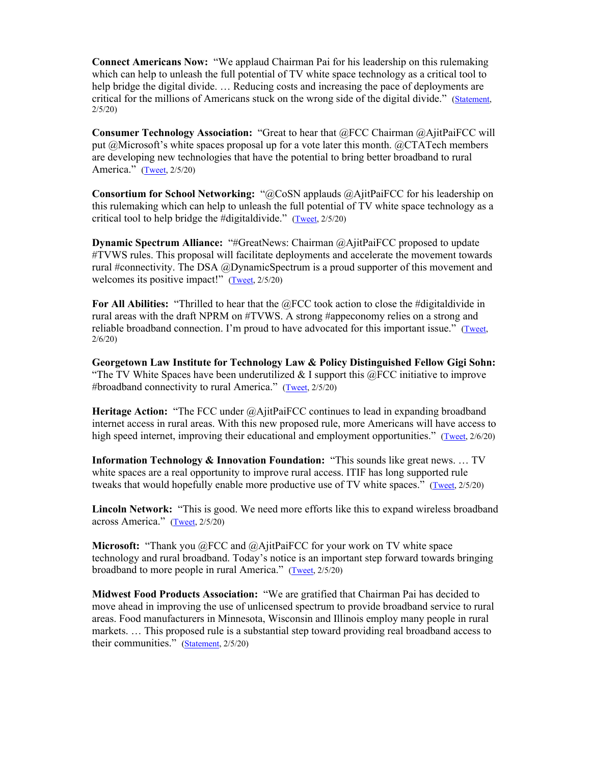**Connect Americans Now:** "We applaud Chairman Pai for his leadership on this rulemaking which can help to unleash the full potential of TV white space technology as a critical tool to help bridge the digital divide. ... Reducing costs and increasing the pace of deployments are critical for the millions of Americans stuck on the wrong side of the digital divide." [\(Statement](https://connectamericansnow.com/can-applauds-fcc-chairman-pai-for-advancing-the-tv-white-space-rulemaking/), 2/5/20)

**Consumer Technology Association:** "Great to hear that @FCC Chairman @AjitPaiFCC will put @Microsoft's white spaces proposal up for a vote later this month. @CTATech members are developing new technologies that have the potential to bring better broadband to rural America." [\(Tweet,](https://twitter.com/GaryShapiro/status/1225139144919343105) 2/5/20)

**Consortium for School Networking:** "@CoSN applauds @AjitPaiFCC for his leadership on this rulemaking which can help to unleash the full potential of TV white space technology as a critical tool to help bridge the #digitaldivide." ([Tweet](https://twitter.com/CoSN/status/1225155483113267202?s=20), 2/5/20)

**Dynamic Spectrum Alliance:** "#GreatNews: Chairman @AjitPaiFCC proposed to update #TVWS rules. This proposal will facilitate deployments and accelerate the movement towards rural #connectivity. The DSA @DynamicSpectrum is a proud supporter of this movement and welcomes its positive impact!" ([Tweet](https://twitter.com/MarthaLSuarez/status/1225112826496323584), 2/5/20)

**For All Abilities:** "Thrilled to hear that the @FCC took action to close the #digitaldivide in rural areas with the draft NPRM on #TVWS. A strong #appeconomy relies on a strong and reliable broadband connection. I'm proud to have advocated for this important issue." [\(Tweet,](https://twitter.com/BetsyFurler/status/1225464722423767040) 2/6/20)

**Georgetown Law Institute for Technology Law & Policy Distinguished Fellow Gigi Sohn:**  "The TV White Spaces have been underutilized  $& 1$  support this  $@FCC$  initiative to improve #broadband connectivity to rural America." [\(Tweet,](https://twitter.com/gigibsohn/status/1225164177058271232) 2/5/20)

**Heritage Action:** "The FCC under @AjitPaiFCC continues to lead in expanding broadband internet access in rural areas. With this new proposed rule, more Americans will have access to high speed internet, improving their educational and employment opportunities." [\(Tweet,](https://twitter.com/Heritage_Action/status/1225444530578690048) 2/6/20)

**Information Technology & Innovation Foundation:** "This sounds like great news. … TV white spaces are a real opportunity to improve rural access. ITIF has long supported rule tweaks that would hopefully enable more productive use of TV white spaces." [\(Tweet,](https://twitter.com/dbrakeITIF/status/1225128792143908870?s=20) 2/5/20)

**Lincoln Network:** "This is good. We need more efforts like this to expand wireless broadband across America." ([Tweet](https://twitter.com/JoinLincoln/status/1225151368723410944), 2/5/20)

**Microsoft:** "Thank you @FCC and @AjitPaiFCC for your work on TV white space technology and rural broadband. Today's notice is an important step forward towards bringing broadband to more people in rural America." [\(Tweet,](https://twitter.com/BradSmi/status/1225159256342695937) 2/5/20)

**Midwest Food Products Association:** "We are gratified that Chairman Pai has decided to move ahead in improving the use of unlicensed spectrum to provide broadband service to rural areas. Food manufacturers in Minnesota, Wisconsin and Illinois employ many people in rural markets. … This proposed rule is a substantial step toward providing real broadband access to their communities." [\(Statement](https://mwfpa.org/wp-content/uploads/2020/02/NEWS-RELEASE-FCC-White-Spaces.pdf), 2/5/20)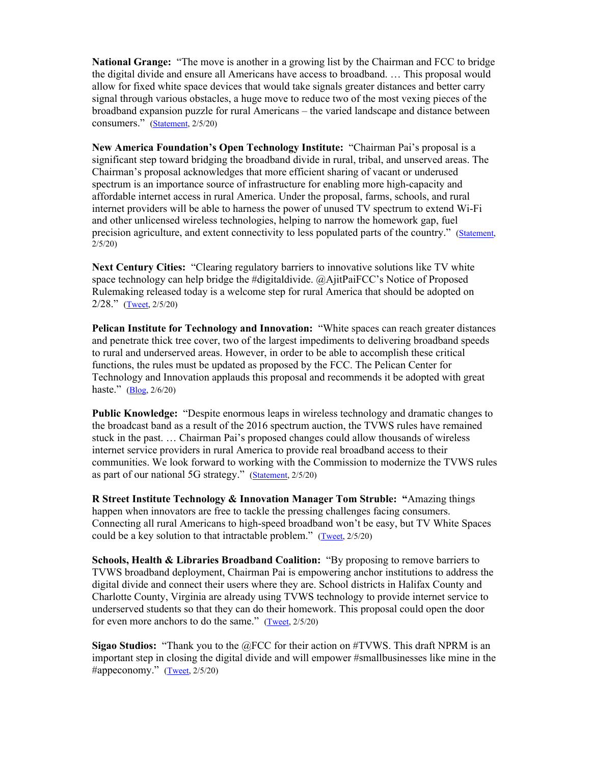**National Grange:** "The move is another in a growing list by the Chairman and FCC to bridge the digital divide and ensure all Americans have access to broadband. … This proposal would allow for fixed white space devices that would take signals greater distances and better carry signal through various obstacles, a huge move to reduce two of the most vexing pieces of the broadband expansion puzzle for rural Americans – the varied landscape and distance between consumers." ([Statement,](https://www.nationalgrange.org/grange-hails-white-space-proposal-as-necessary-step-forward-to-bridging-digital-divide/) 2/5/20)

**New America Foundation's Open Technology Institute:** "Chairman Pai's proposal is a significant step toward bridging the broadband divide in rural, tribal, and unserved areas. The Chairman's proposal acknowledges that more efficient sharing of vacant or underused spectrum is an importance source of infrastructure for enabling more high-capacity and affordable internet access in rural America. Under the proposal, farms, schools, and rural internet providers will be able to harness the power of unused TV spectrum to extend Wi-Fi and other unlicensed wireless technologies, helping to narrow the homework gap, fuel precision agriculture, and extent connectivity to less populated parts of the country." ([Statement,](https://twitter.com/OTI/status/1225154843901399041) 2/5/20)

**Next Century Cities:** "Clearing regulatory barriers to innovative solutions like TV white space technology can help bridge the #digitaldivide. @AjitPaiFCC's Notice of Proposed Rulemaking released today is a welcome step for rural America that should be adopted on 2/28." [\(Tweet,](https://twitter.com/NextCentCit/status/1225196719186509831?s=20) 2/5/20)

**Pelican Institute for Technology and Innovation:** "White spaces can reach greater distances and penetrate thick tree cover, two of the largest impediments to delivering broadband speeds to rural and underserved areas. However, in order to be able to accomplish these critical functions, the rules must be updated as proposed by the FCC. The Pelican Center for Technology and Innovation applauds this proposal and recommends it be adopted with great haste." [\(Blog,](https://pelicaninstitute.org/blog/pelican-encourages-fcc-to-close-the-digital-divide/) 2/6/20)

**Public Knowledge:** "Despite enormous leaps in wireless technology and dramatic changes to the broadcast band as a result of the 2016 spectrum auction, the TVWS rules have remained stuck in the past. … Chairman Pai's proposed changes could allow thousands of wireless internet service providers in rural America to provide real broadband access to their communities. We look forward to working with the Commission to modernize the TVWS rules as part of our national 5G strategy." ([Statement,](https://www.publicknowledge.org/press-release/fcc-chairman-pai-proposes-to-update-wireless-rules-to-connect-rural-america/) 2/5/20)

**R Street Institute Technology & Innovation Manager Tom Struble: "**Amazing things happen when innovators are free to tackle the pressing challenges facing consumers. Connecting all rural Americans to high-speed broadband won't be easy, but TV White Spaces could be a key solution to that intractable problem." ([Tweet](https://twitter.com/tstruble/status/1225121232078557184), 2/5/20)

**Schools, Health & Libraries Broadband Coalition:** "By proposing to remove barriers to TVWS broadband deployment, Chairman Pai is empowering anchor institutions to address the digital divide and connect their users where they are. School districts in Halifax County and Charlotte County, Virginia are already using TVWS technology to provide internet service to underserved students so that they can do their homework. This proposal could open the door for even more anchors to do the same."  $(Tweet, 2/5/20)$  $(Tweet, 2/5/20)$  $(Tweet, 2/5/20)$ 

**Sigao Studios:** "Thank you to the @FCC for their action on #TVWS. This draft NPRM is an important step in closing the digital divide and will empower #smallbusinesses like mine in the #appeconomy." [\(Tweet,](https://twitter.com/SBECouncil/status/1225146760500273152) 2/5/20)